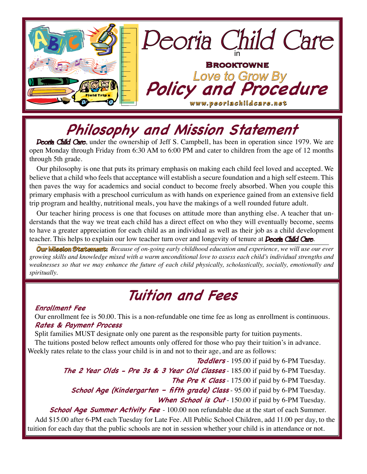

# **Philosophy and Mission Statement**

**Peoria Child Care**, under the ownership of Jeff S. Campbell, has been in operation since 1979. We are open Monday through Friday from 6:30 AM to 6:00 PM and cater to children from the age of 12 months through 5th grade.

Our philosophy is one that puts its primary emphasis on making each child feel loved and accepted. We believe that a child who feels that acceptance will establish a secure foundation and a high self esteem. This then paves the way for academics and social conduct to become freely absorbed. When you couple this primary emphasis with a preschool curriculum as with hands on experience gained from an extensive field trip program and healthy, nutritional meals, you have the makings of a well rounded future adult.

Our teacher hiring process is one that focuses on attitude more than anything else. A teacher that understands that the way we treat each child has a direct effect on who they will eventually become, seems to have a greater appreciation for each child as an individual as well as their job as a child development teacher. This helps to explain our low teacher turn over and longevity of tenure at **Deoria Child Care**.

**Our Mission Statement:** *Because of on-going early childhood education and experience, we will use our ever growing skills and knowledge mixed with a warm unconditional love to assess each child's individual strengths and weaknesses so that we may enhance the future of each child physically, scholastically, socially, emotionally and spiritually.*

## **Tuition and Fees**

### **Enrollment Fee**

Our enrollment fee is 50.00. This is a non-refundable one time fee as long as enrollment is continuous. **Rates & Payment Process**

Split families MUST designate only one parent as the responsible party for tuition payments. The tuitions posted below reflect amounts only offered for those who pay their tuition's in advance. Weekly rates relate to the class your child is in and not to their age, and are as follows:

**Toddlers** - 195.00 if paid by 6-PM Tuesday. **The 2 Year Olds - Pre 3s & 3 Year Old Classes** - 185.00 if paid by 6-PM Tuesday. **The Pre K Class** - 175.00 if paid by 6-PM Tuesday. **School Age (Kindergarten - fifth grade) Class** - 95.00 if paid by 6-PM Tuesday. When **School is Out** - 150.00 if paid by 6-PM Tuesday. **School Age Summer Activity Fee** - 100.00 non refundable due at the start of each Summer.

Add \$15.00 after 6-PM each Tuesday for Late Fee. All Public School Children, add 11.00 per day, to the tuition for each day that the public schools are not in session whether your child is in attendance or not.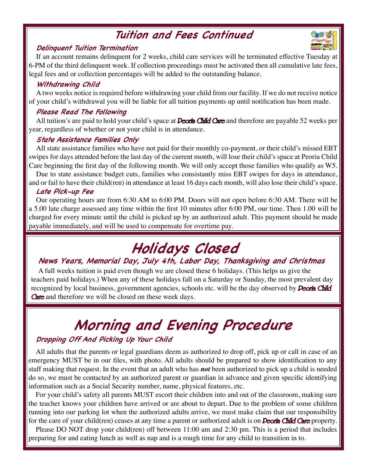### **Tuition and Fees Continued**

### **Delinquent Tuition Termination**

If an account remains delinquent for 2 weeks, child care services will be terminated effective Tuesday at 6-PM of the third delinquent week. If collection proceedings must be activated then all cumulative late fees, legal fees and or collection percentages will be added to the outstanding balance.

### **Withdrawing Child**

A two weeks notice is required before withdrawing your child from our facility. If we do not receive notice of your child's withdrawal you will be liable for all tuition payments up until notification has been made.

### **Please Read The Following**

All tuition's are paid to hold your child's space at *Peoria Child Care* and therefore are payable 52 weeks per year, regardless of whether or not your child is in attendance.

### **State Assistance Families Only**

All state assistance families who have not paid for their monthly co-payment, or their child's missed EBT swipes for days attended before the last day of the current month, will lose their child's space at Peoria Child Care beginning the first day of the following month. We will only accept those families who qualify as W5.

Due to state assistance budget cuts, families who consistantly miss EBT swipes for days in attendance, and or fail to have their child(ren) in attendance at least 16 days each month, will also lose their child's space.

### **Late Pick-up Fee**

Our operating hours are from 6:30 AM to 6:00 PM. Doors will not open before 6:30 AM. There will be a 5.00 late charge assessed any time within the first 10 minutes after 6:00 PM, our time. Then 1.00 will be charged for every minute until the child is picked up by an authorized adult. This payment should be made payable immediately, and will be used to compensate for overtime pay.

# **Holidays Closed**

### **News Years, Memorial Day, July 4th, Labor Day, Thanksgiving and Christmas**

A full weeks tuition is paid even though we are closed these 6 holidays. (This helps us give the teachers paid holidays.) When any of these holidays fall on a Saturday or Sunday, the most prevalent day recognized by local business, government agencies, schools etc. will be the day observed by **Deoria Child** Care and therefore we will be closed on these week days.

# **Morning and Evening Procedure**

### **Dropping Off And Picking Up Your Child**

All adults that the parents or legal guardians deem as authorized to drop off, pick up or call in case of an emergency MUST be in our files, with photo. All adults should be prepared to show identification to any staff making that request. In the event that an adult who has *not* been authorized to pick up a child is needed do so, we must be contacted by an authorized parent or guardian in advance and given specific identifying information such as a Social Security number, name, physical features, etc.

For your child's safety all parents MUST escort their children into and out of the classroom, making sure the teacher knows your children have arrived or are about to depart. Due to the problem of some children running into our parking lot when the authorized adults arrive, we must make claim that our responsibility for the care of your child(ren) ceases at any time a parent or authorized adult is on **Deoria Child Care** property.

Please DO NOT drop your child(ren) off between 11:00 am and 2:30 pm. This is a period that includes preparing for and eating lunch as well as nap and is a rough time for any child to transition in to.

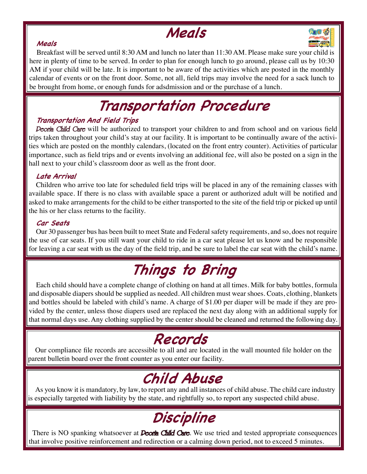## **Meals**



### **Meals**

Breakfast will be served until 8:30 AM and lunch no later than 11:30 AM. Please make sure your child is here in plenty of time to be served. In order to plan for enough lunch to go around, please call us by 10:30 AM if your child will be late. It is important to be aware of the activities which are posted in the monthly calendar of events or on the front door. Some, not all, field trips may involve the need for a sack lunch to be brought from home, or enough funds for adsdmission and or the purchase of a lunch.

# **Transportation Procedure**

### **Transportation And Field Trips**

Peoria Child Care will be authorized to transport your children to and from school and on various field trips taken throughout your child's stay at our facility. It is important to be continually aware of the activities which are posted on the monthly calendars, (located on the front entry counter). Activities of particular importance, such as field trips and or events involving an additional fee, will also be posted on a sign in the hall next to your child's classroom door as well as the front door.

### **Late Arrival**

Children who arrive too late for scheduled field trips will be placed in any of the remaining classes with available space. If there is no class with available space a parent or authorized adult will be notified and asked to make arrangements for the child to be either transported to the site of the field trip or picked up until the his or her class returns to the facility.

### **Car Seats**

Our 30 passenger bus has been built to meet State and Federal safety requirements, and so, does not require the use of car seats. If you still want your child to ride in a car seat please let us know and be responsible for leaving a car seat with us the day of the field trip, and be sure to label the car seat with the child's name.

# **Things to Bring**

Each child should have a complete change of clothing on hand at all times. Milk for baby bottles, formula and disposable diapers should be supplied as needed. All children must wear shoes. Coats, clothing, blankets and bottles should be labeled with child's name. A charge of \$1.00 per diaper will be made if they are provided by the center, unless those diapers used are replaced the next day along with an additional supply for that normal days use. Any clothing supplied by the center should be cleaned and returned the following day.

## **Records**

Our compliance file records are accessible to all and are located in the wall mounted file holder on the parent bulletin board over the front counter as you enter our facility.

# **Child Abuse**

As you know it is mandatory, by law, to report any and all instances of child abuse. The child care industry is especially targeted with liability by the state, and rightfully so, to report any suspected child abuse.

## **Discipline**

There is NO spanking whatsoever at **Deoria Child Care**. We use tried and tested appropriate consequences that involve positive reinforcement and redirection or a calming down period, not to exceed 5 minutes.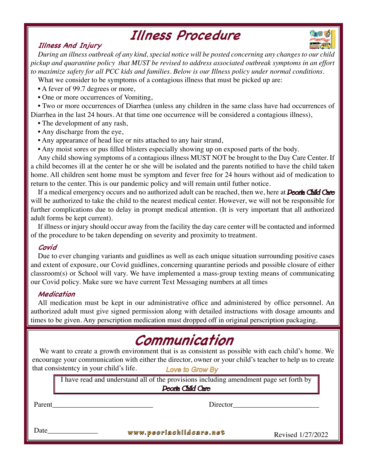### **Illness Procedure**

### **Illness And Injury**

*During an illness outbreak of any kind, special notice will be posted concerning any changes to our child pickup and quarantine policy that MUST be revised to address associated outbreak symptoms in an effort to maximize safety for all PCC kids and families. Below is our Illness policy under normal conditions.*

What we consider to be symptoms of a contagious illness that must be picked up are:

- A fever of 99.7 degrees or more,
- One or more occurrences of Vomiting,

• Two or more occurrences of Diarrhea (unless any children in the same class have had occurrences of Diarrhea in the last 24 hours. At that time one occurrence will be considered a contagious illness),

- The development of any rash,
- Any discharge from the eye,
- Any appearance of head lice or nits attached to any hair strand,
- Any moist sores or pus filled blisters especially showing up on exposed parts of the body.

Any child showing symptoms of a contagious illness MUST NOT be brought to the Day Care Center. If a child becomes ill at the center he or she will be isolated and the parents notified to have the child taken home. All children sent home must be symptom and fever free for 24 hours without aid of medication to return to the center. This is our pandemic policy and will remain until futher notice.

If a medical emergency occurs and no authorized adult can be reached, then we, here at *Deoria Child Care* will be authorized to take the child to the nearest medical center. However, we will not be responsible for further complications due to delay in prompt medical attention. (It is very important that all authorized adult forms be kept current).

If illness or injury should occur away from the facility the day care center will be contacted and informed of the procedure to be taken depending on severity and proximity to treatment.

### **Covid**

Due to ever changing variants and guidlines as well as each unique situation surrounding positive cases and extent of exposure, our Covid guidlines, concerning quarantine periods and possible closure of either classroom(s) or School will vary. We have implemented a mass-group texting means of communicating our Covid policy. Make sure we have current Text Messaging numbers at all times

### **Medication**

All medication must be kept in our administrative office and administered by office personnel. An authorized adult must give signed permission along with detailed instructions with dosage amounts and times to be given. Any perscription medication must dropped off in original perscription packaging.

## **Communication**

We want to create a growth environment that is as consistent as possible with each child's home. We encourage your communication with either the director, owner or your child's teacher to help us to create that consistentcy in your child's life. Love to Grow By

I have read and understand all of the provisions including amendment page set forth by Peoria Child Care

Parent

Director\_\_\_\_\_\_\_\_\_\_\_\_\_\_\_\_\_\_\_\_\_\_\_\_

Date\_

**www.peoriachildcare.net** Revised 1/27/2022